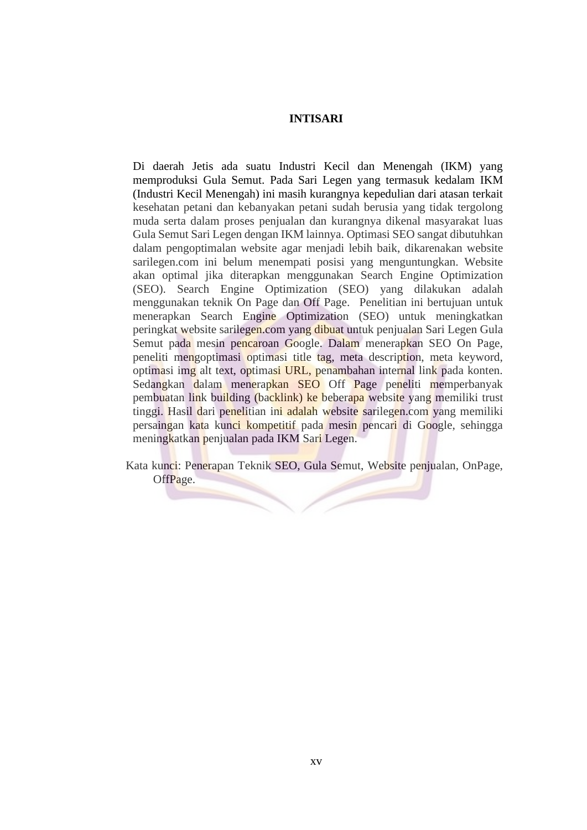## **INTISARI**

Di daerah Jetis ada suatu Industri Kecil dan Menengah (IKM) yang memproduksi Gula Semut. Pada Sari Legen yang termasuk kedalam IKM (Industri Kecil Menengah) ini masih kurangnya kepedulian dari atasan terkait kesehatan petani dan kebanyakan petani sudah berusia yang tidak tergolong muda serta dalam proses penjualan dan kurangnya dikenal masyarakat luas Gula Semut Sari Legen dengan IKM lainnya. Optimasi SEO sangat dibutuhkan dalam pengoptimalan website agar menjadi lebih baik, dikarenakan website sarilegen.com ini belum menempati posisi yang menguntungkan. Website akan optimal jika diterapkan menggunakan Search Engine Optimization (SEO). Search Engine Optimization (SEO) yang dilakukan adalah menggunakan teknik On Page dan Off Page. Penelitian ini bertujuan untuk menerapkan Search Engine Optimization (SEO) untuk meningkatkan peringkat website sarilegen.com yang dibuat untuk penjualan Sari Legen Gula Semut pada mesin pencaroan Google. Dalam menerapkan SEO On Page, peneliti mengoptimasi optimasi title tag, meta description, meta keyword, optimasi img alt text, optimasi URL, penambahan internal link pada konten. Sedangkan dalam menerapkan SEO Off Page peneliti memperbanyak pembuatan link building (backlink) ke beberapa website yang memiliki trust tinggi. Hasil dari penelitian ini adalah website sarilegen.com yang memiliki persaingan kata kunci kompetitif pada mesin pencari di Google, sehingga meningkatkan penjualan pada IKM Sari Legen.

Kata kunci: Penerapan Teknik SEO, Gula Semut, Website penjualan, OnPage, OffPage.